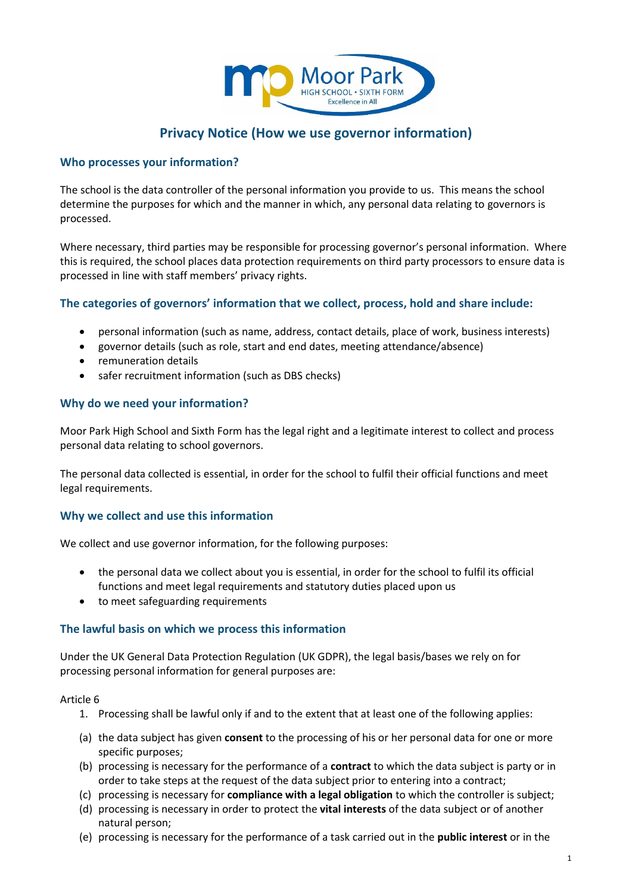

# **Privacy Notice (How we use governor information)**

#### **Who processes your information?**

The school is the data controller of the personal information you provide to us. This means the school determine the purposes for which and the manner in which, any personal data relating to governors is processed.

Where necessary, third parties may be responsible for processing governor's personal information. Where this is required, the school places data protection requirements on third party processors to ensure data is processed in line with staff members' privacy rights.

### **The categories of governors' information that we collect, process, hold and share include:**

- personal information (such as name, address, contact details, place of work, business interests)
- governor details (such as role, start and end dates, meeting attendance/absence)
- remuneration details
- safer recruitment information (such as DBS checks)

### **Why do we need your information?**

Moor Park High School and Sixth Form has the legal right and a legitimate interest to collect and process personal data relating to school governors.

The personal data collected is essential, in order for the school to fulfil their official functions and meet legal requirements.

#### **Why we collect and use this information**

We collect and use governor information, for the following purposes:

- the personal data we collect about you is essential, in order for the school to fulfil its official functions and meet legal requirements and statutory duties placed upon us
- to meet safeguarding requirements

#### **The lawful basis on which we process this information**

Under the UK General Data Protection Regulation (UK GDPR), the legal basis/bases we rely on for processing personal information for general purposes are:

#### Article 6

- 1. Processing shall be lawful only if and to the extent that at least one of the following applies:
- (a) the data subject has given **consent** to the processing of his or her personal data for one or more specific purposes;
- (b) processing is necessary for the performance of a **contract** to which the data subject is party or in order to take steps at the request of the data subject prior to entering into a contract;
- (c) processing is necessary for **compliance with a legal obligation** to which the controller is subject;
- (d) processing is necessary in order to protect the **vital interests** of the data subject or of another natural person;
- (e) processing is necessary for the performance of a task carried out in the **public interest** or in the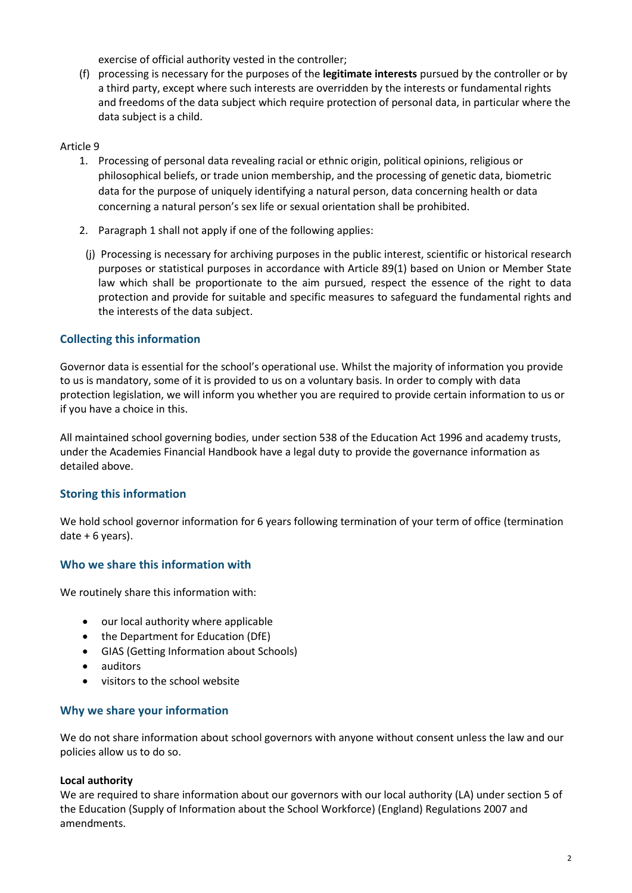exercise of official authority vested in the controller;

(f) processing is necessary for the purposes of the **legitimate interests** pursued by the controller or by a third party, except where such interests are overridden by the interests or fundamental rights and freedoms of the data subject which require protection of personal data, in particular where the data subject is a child.

#### Article 9

- 1. Processing of personal data revealing racial or ethnic origin, political opinions, religious or philosophical beliefs, or trade union membership, and the processing of genetic data, biometric data for the purpose of uniquely identifying a natural person, data concerning health or data concerning a natural person's sex life or sexual orientation shall be prohibited.
- 2. Paragraph 1 shall not apply if one of the following applies:
- (j) Processing is necessary for archiving purposes in the public interest, scientific or historical research purposes or statistical purposes in accordance with Article 89(1) based on Union or Member State law which shall be proportionate to the aim pursued, respect the essence of the right to data protection and provide for suitable and specific measures to safeguard the fundamental rights and the interests of the data subject.

## **Collecting this information**

Governor data is essential for the school's operational use. Whilst the majority of information you provide to us is mandatory, some of it is provided to us on a voluntary basis. In order to comply with data protection legislation, we will inform you whether you are required to provide certain information to us or if you have a choice in this.

All maintained school governing bodies, under section 538 of the Education Act 1996 and academy trusts, under the Academies Financial Handbook have a legal duty to provide the governance information as detailed above.

### **Storing this information**

We hold school governor information for 6 years following termination of your term of office (termination date  $+ 6$  years).

### **Who we share this information with**

We routinely share this information with:

- our local authority where applicable
- the Department for Education (DfE)
- GIAS (Getting Information about Schools)
- auditors
- visitors to the school website

#### **Why we share your information**

We do not share information about school governors with anyone without consent unless the law and our policies allow us to do so.

#### **Local authority**

We are required to share information about our governors with our local authority (LA) under section 5 of the Education (Supply of Information about the School Workforce) (England) Regulations 2007 and amendments.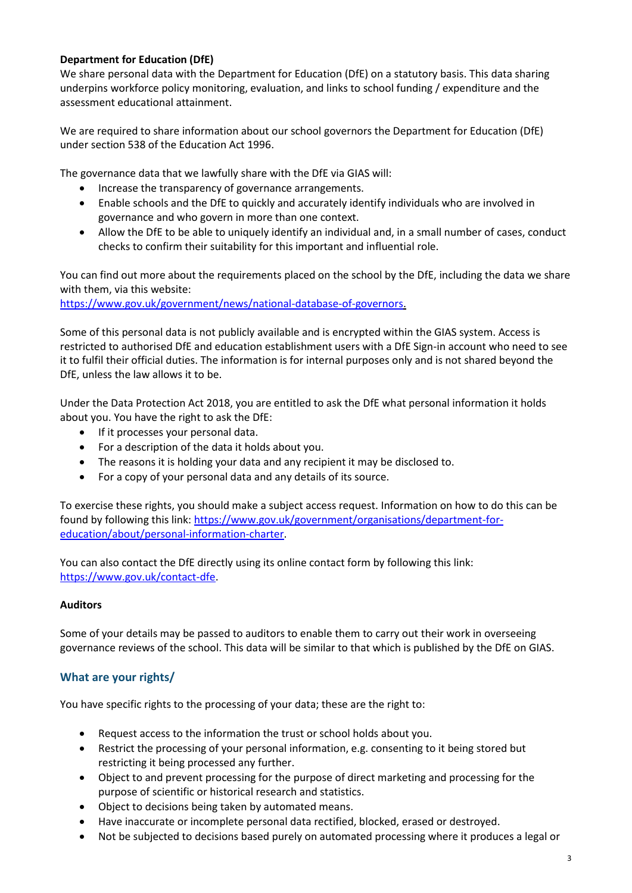### **Department for Education (DfE)**

We share personal data with the Department for Education (DfE) on a statutory basis. This data sharing underpins workforce policy monitoring, evaluation, and links to school funding / expenditure and the assessment educational attainment.

We are required to share information about our school governors the Department for Education (DfE) under [section 538 of the Education Act 1996.](http://www.legislation.gov.uk/ukpga/1996/56/section/538)

The governance data that we lawfully share with the DfE via GIAS will:

- Increase the transparency of governance arrangements.
- Enable schools and the DfE to quickly and accurately identify individuals who are involved in governance and who govern in more than one context.
- Allow the DfE to be able to uniquely identify an individual and, in a small number of cases, conduct checks to confirm their suitability for this important and influential role.

You can find out more about the requirements placed on the school by the DfE, including the data we share with them, via this website:

[https://www.gov.uk/government/news/national-database-of-governors.](https://www.gov.uk/government/news/national-database-of-governors)

Some of this personal data is not publicly available and is encrypted within the GIAS system. Access is restricted to authorised DfE and education establishment users with a DfE Sign-in account who need to see it to fulfil their official duties. The information is for internal purposes only and is not shared beyond the DfE, unless the law allows it to be.

Under the Data Protection Act 2018, you are entitled to ask the DfE what personal information it holds about you. You have the right to ask the DfE:

- If it processes your personal data.
- For a description of the data it holds about you.
- The reasons it is holding your data and any recipient it may be disclosed to.
- For a copy of your personal data and any details of its source.

To exercise these rights, you should make a subject access request. Information on how to do this can be found by following this link: [https://www.gov.uk/government/organisations/department-for](https://www.gov.uk/government/organisations/department-for-education/about/personal-information-charter)[education/about/personal-information-charter.](https://www.gov.uk/government/organisations/department-for-education/about/personal-information-charter)

You can also contact the DfE directly using its online contact form by following this link: [https://www.gov.uk/contact-dfe.](https://www.gov.uk/contact-dfe)

#### **Auditors**

Some of your details may be passed to auditors to enable them to carry out their work in overseeing governance reviews of the school. This data will be similar to that which is published by the DfE on GIAS.

### **What are your rights/**

You have specific rights to the processing of your data; these are the right to:

- Request access to the information the trust or school holds about you.
- Restrict the processing of your personal information, e.g. consenting to it being stored but restricting it being processed any further.
- Object to and prevent processing for the purpose of direct marketing and processing for the purpose of scientific or historical research and statistics.
- Object to decisions being taken by automated means.
- Have inaccurate or incomplete personal data rectified, blocked, erased or destroyed.
- Not be subjected to decisions based purely on automated processing where it produces a legal or